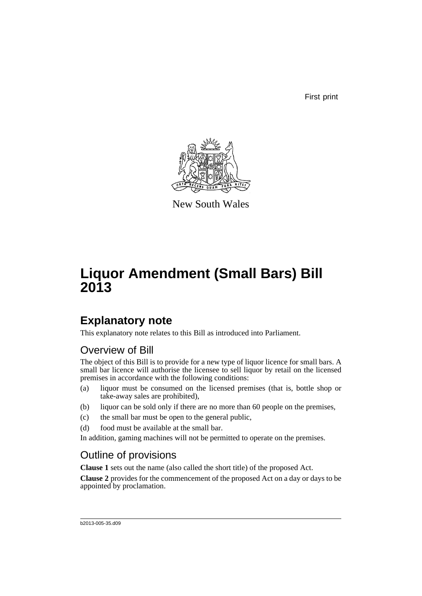First print



New South Wales

# **Liquor Amendment (Small Bars) Bill 2013**

## **Explanatory note**

This explanatory note relates to this Bill as introduced into Parliament.

## Overview of Bill

The object of this Bill is to provide for a new type of liquor licence for small bars. A small bar licence will authorise the licensee to sell liquor by retail on the licensed premises in accordance with the following conditions:

- (a) liquor must be consumed on the licensed premises (that is, bottle shop or take-away sales are prohibited),
- (b) liquor can be sold only if there are no more than 60 people on the premises,
- (c) the small bar must be open to the general public,
- (d) food must be available at the small bar.

In addition, gaming machines will not be permitted to operate on the premises.

## Outline of provisions

**Clause 1** sets out the name (also called the short title) of the proposed Act.

**Clause 2** provides for the commencement of the proposed Act on a day or days to be appointed by proclamation.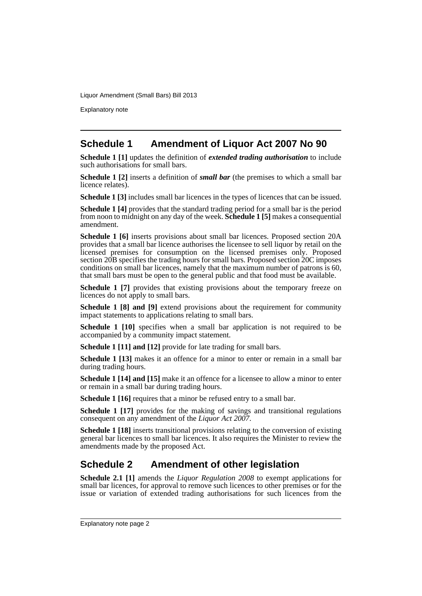Explanatory note

### **Schedule 1 Amendment of Liquor Act 2007 No 90**

**Schedule 1 [1]** updates the definition of *extended trading authorisation* to include such authorisations for small bars.

**Schedule 1 [2]** inserts a definition of *small bar* (the premises to which a small bar licence relates).

**Schedule 1 [3]** includes small bar licences in the types of licences that can be issued.

**Schedule 1 [4]** provides that the standard trading period for a small bar is the period from noon to midnight on any day of the week. **Schedule 1 [5]** makes a consequential amendment.

**Schedule 1 [6]** inserts provisions about small bar licences. Proposed section 20A provides that a small bar licence authorises the licensee to sell liquor by retail on the licensed premises for consumption on the licensed premises only. Proposed section 20B specifies the trading hours for small bars. Proposed section 20C imposes conditions on small bar licences, namely that the maximum number of patrons is 60, that small bars must be open to the general public and that food must be available.

**Schedule 1 [7]** provides that existing provisions about the temporary freeze on licences do not apply to small bars.

**Schedule 1 [8] and [9]** extend provisions about the requirement for community impact statements to applications relating to small bars.

**Schedule 1 [10]** specifies when a small bar application is not required to be accompanied by a community impact statement.

**Schedule 1 [11] and [12]** provide for late trading for small bars.

**Schedule 1 [13]** makes it an offence for a minor to enter or remain in a small bar during trading hours.

**Schedule 1 [14] and [15]** make it an offence for a licensee to allow a minor to enter or remain in a small bar during trading hours.

**Schedule 1 [16]** requires that a minor be refused entry to a small bar.

**Schedule 1 [17]** provides for the making of savings and transitional regulations consequent on any amendment of the *Liquor Act 2007*.

**Schedule 1 [18]** inserts transitional provisions relating to the conversion of existing general bar licences to small bar licences. It also requires the Minister to review the amendments made by the proposed Act.

### **Schedule 2 Amendment of other legislation**

**Schedule 2.1 [1]** amends the *Liquor Regulation 2008* to exempt applications for small bar licences, for approval to remove such licences to other premises or for the issue or variation of extended trading authorisations for such licences from the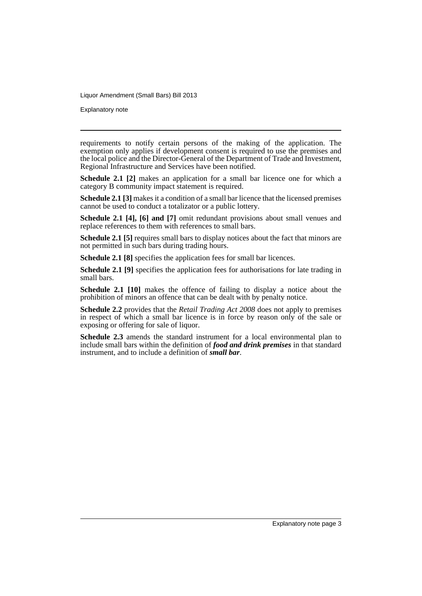Explanatory note

requirements to notify certain persons of the making of the application. The exemption only applies if development consent is required to use the premises and the local police and the Director-General of the Department of Trade and Investment, Regional Infrastructure and Services have been notified.

**Schedule 2.1** [2] makes an application for a small bar licence one for which a category B community impact statement is required.

**Schedule 2.1 [3]** makes it a condition of a small bar licence that the licensed premises cannot be used to conduct a totalizator or a public lottery.

**Schedule 2.1 [4], [6] and [7]** omit redundant provisions about small venues and replace references to them with references to small bars.

**Schedule 2.1 [5]** requires small bars to display notices about the fact that minors are not permitted in such bars during trading hours.

**Schedule 2.1 [8]** specifies the application fees for small bar licences.

**Schedule 2.1 [9]** specifies the application fees for authorisations for late trading in small bars.

**Schedule 2.1 [10]** makes the offence of failing to display a notice about the prohibition of minors an offence that can be dealt with by penalty notice.

**Schedule 2.2** provides that the *Retail Trading Act 2008* does not apply to premises in respect of which a small bar licence is in force by reason only of the sale or exposing or offering for sale of liquor.

**Schedule 2.3** amends the standard instrument for a local environmental plan to include small bars within the definition of *food and drink premises* in that standard instrument, and to include a definition of *small bar*.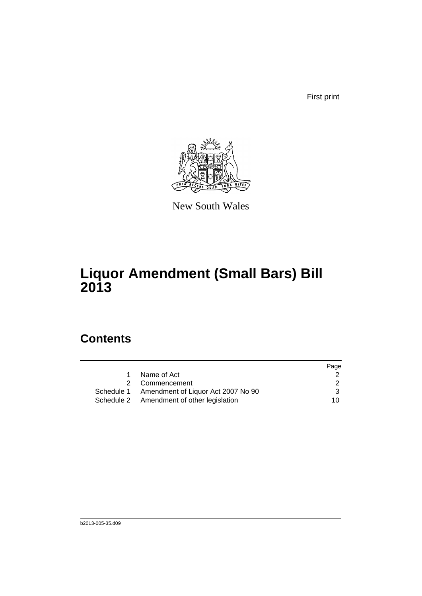First print



New South Wales

# **Liquor Amendment (Small Bars) Bill 2013**

## **Contents**

|             |                                               | Page |
|-------------|-----------------------------------------------|------|
| $\mathbf 1$ | Name of Act                                   |      |
|             | 2 Commencement                                | 2    |
|             | Schedule 1 Amendment of Liquor Act 2007 No 90 | 3    |
|             | Schedule 2 Amendment of other legislation     | 10.  |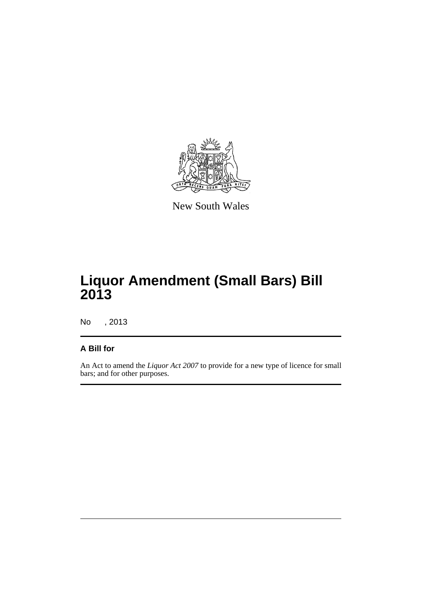

New South Wales

# **Liquor Amendment (Small Bars) Bill 2013**

No , 2013

#### **A Bill for**

An Act to amend the *Liquor Act 2007* to provide for a new type of licence for small bars; and for other purposes.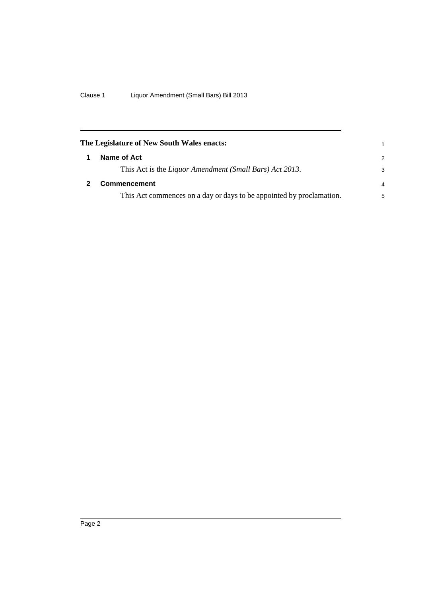<span id="page-7-1"></span><span id="page-7-0"></span>

| The Legislature of New South Wales enacts: |                                                                      |                |  |  |
|--------------------------------------------|----------------------------------------------------------------------|----------------|--|--|
|                                            | Name of Act                                                          | 2              |  |  |
|                                            | This Act is the Liquor Amendment (Small Bars) Act 2013.              | 3              |  |  |
|                                            | <b>Commencement</b>                                                  | $\overline{4}$ |  |  |
|                                            | This Act commences on a day or days to be appointed by proclamation. | 5              |  |  |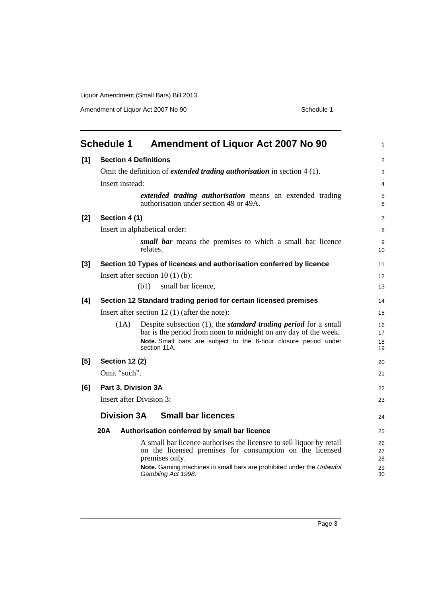Amendment of Liquor Act 2007 No 90 Schedule 1

<span id="page-8-0"></span>

|       | <b>Schedule 1</b><br><b>Amendment of Liquor Act 2007 No 90</b>                                                                                                                                                                          | $\mathbf{1}$         |
|-------|-----------------------------------------------------------------------------------------------------------------------------------------------------------------------------------------------------------------------------------------|----------------------|
| [1]   | <b>Section 4 Definitions</b>                                                                                                                                                                                                            | 2                    |
|       | Omit the definition of <i>extended trading authorisation</i> in section $4(1)$ .                                                                                                                                                        | 3                    |
|       | Insert instead:                                                                                                                                                                                                                         | $\overline{4}$       |
|       | <i>extended trading authorisation</i> means an extended trading<br>authorisation under section 49 or 49A.                                                                                                                               | 5<br>6               |
| $[2]$ | Section 4 (1)                                                                                                                                                                                                                           | $\overline{7}$       |
|       | Insert in alphabetical order:                                                                                                                                                                                                           | 8                    |
|       | small bar means the premises to which a small bar licence<br>relates.                                                                                                                                                                   | 9<br>10              |
| $[3]$ | Section 10 Types of licences and authorisation conferred by licence                                                                                                                                                                     | 11                   |
|       | Insert after section $10(1)(b)$ :                                                                                                                                                                                                       | 12                   |
|       | (b1)<br>small bar licence,                                                                                                                                                                                                              | 13                   |
| [4]   | Section 12 Standard trading period for certain licensed premises                                                                                                                                                                        | 14                   |
|       | Insert after section $12(1)$ (after the note):                                                                                                                                                                                          | 15                   |
|       | Despite subsection $(1)$ , the <i>standard trading period</i> for a small<br>(1A)<br>bar is the period from noon to midnight on any day of the week.<br>Note. Small bars are subject to the 6-hour closure period under<br>section 11A. | 16<br>17<br>18<br>19 |
| [5]   | <b>Section 12 (2)</b>                                                                                                                                                                                                                   | 20                   |
|       | Omit "such".                                                                                                                                                                                                                            | 21                   |
| [6]   | Part 3, Division 3A                                                                                                                                                                                                                     | 22                   |
|       | <b>Insert after Division 3:</b>                                                                                                                                                                                                         | 23                   |
|       | <b>Small bar licences</b><br><b>Division 3A</b>                                                                                                                                                                                         | 24                   |
|       | 20A                                                                                                                                                                                                                                     |                      |
|       | Authorisation conferred by small bar licence                                                                                                                                                                                            | 25                   |
|       | A small bar licence authorises the licensee to sell liquor by retail<br>on the licensed premises for consumption on the licensed<br>premises only.                                                                                      | 26<br>27<br>28       |
|       | Note. Gaming machines in small bars are prohibited under the Unlawful<br>Gambling Act 1998.                                                                                                                                             | 29<br>30             |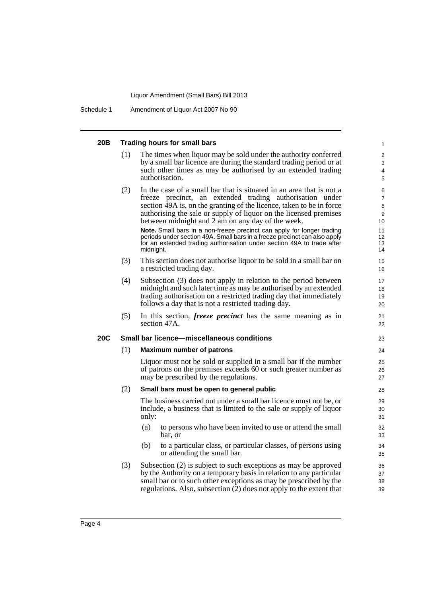Schedule 1 Amendment of Liquor Act 2007 No 90

| 20B |                                                   | <b>Trading hours for small bars</b>                                                                                                                                                                                                                                                                                                                                                                                                                                                                                                                                              | $\mathbf{1}$                                                |  |  |  |
|-----|---------------------------------------------------|----------------------------------------------------------------------------------------------------------------------------------------------------------------------------------------------------------------------------------------------------------------------------------------------------------------------------------------------------------------------------------------------------------------------------------------------------------------------------------------------------------------------------------------------------------------------------------|-------------------------------------------------------------|--|--|--|
|     | (1)                                               | The times when liquor may be sold under the authority conferred<br>by a small bar licence are during the standard trading period or at<br>such other times as may be authorised by an extended trading<br>authorisation.                                                                                                                                                                                                                                                                                                                                                         | 2<br>3<br>4<br>5                                            |  |  |  |
|     | (2)                                               | In the case of a small bar that is situated in an area that is not a<br>freeze precinct, an extended trading authorisation under<br>section 49A is, on the granting of the licence, taken to be in force<br>authorising the sale or supply of liquor on the licensed premises<br>between midnight and 2 am on any day of the week.<br>Note. Small bars in a non-freeze precinct can apply for longer trading<br>periods under section 49A. Small bars in a freeze precinct can also apply<br>for an extended trading authorisation under section 49A to trade after<br>midnight. | 6<br>$\overline{7}$<br>8<br>9<br>10<br>11<br>12<br>13<br>14 |  |  |  |
|     | (3)                                               | This section does not authorise liquor to be sold in a small bar on<br>a restricted trading day.                                                                                                                                                                                                                                                                                                                                                                                                                                                                                 | 15<br>16                                                    |  |  |  |
|     | (4)                                               | Subsection (3) does not apply in relation to the period between<br>midnight and such later time as may be authorised by an extended<br>trading authorisation on a restricted trading day that immediately<br>follows a day that is not a restricted trading day.                                                                                                                                                                                                                                                                                                                 | 17<br>18<br>19<br>20                                        |  |  |  |
|     | (5)                                               | In this section, <i>freeze precinct</i> has the same meaning as in<br>section 47A.                                                                                                                                                                                                                                                                                                                                                                                                                                                                                               | 21<br>22                                                    |  |  |  |
| 20C | <b>Small bar licence—miscellaneous conditions</b> |                                                                                                                                                                                                                                                                                                                                                                                                                                                                                                                                                                                  |                                                             |  |  |  |
|     | (1)                                               | <b>Maximum number of patrons</b>                                                                                                                                                                                                                                                                                                                                                                                                                                                                                                                                                 | 24                                                          |  |  |  |
|     |                                                   | Liquor must not be sold or supplied in a small bar if the number<br>of patrons on the premises exceeds 60 or such greater number as<br>may be prescribed by the regulations.                                                                                                                                                                                                                                                                                                                                                                                                     | 25<br>26<br>27                                              |  |  |  |
|     | (2)                                               | Small bars must be open to general public                                                                                                                                                                                                                                                                                                                                                                                                                                                                                                                                        | 28                                                          |  |  |  |
|     |                                                   | The business carried out under a small bar licence must not be, or<br>include, a business that is limited to the sale or supply of liquor<br>only:                                                                                                                                                                                                                                                                                                                                                                                                                               | 29<br>30<br>31                                              |  |  |  |
|     |                                                   | to persons who have been invited to use or attend the small<br>(a)<br>bar, or                                                                                                                                                                                                                                                                                                                                                                                                                                                                                                    | 32<br>33                                                    |  |  |  |
|     |                                                   | to a particular class, or particular classes, of persons using<br>(b)<br>or attending the small bar.                                                                                                                                                                                                                                                                                                                                                                                                                                                                             | 34<br>35                                                    |  |  |  |
|     | (3)                                               | Subsection (2) is subject to such exceptions as may be approved<br>by the Authority on a temporary basis in relation to any particular<br>small bar or to such other exceptions as may be prescribed by the<br>regulations. Also, subsection (2) does not apply to the extent that                                                                                                                                                                                                                                                                                               | 36<br>37<br>38<br>39                                        |  |  |  |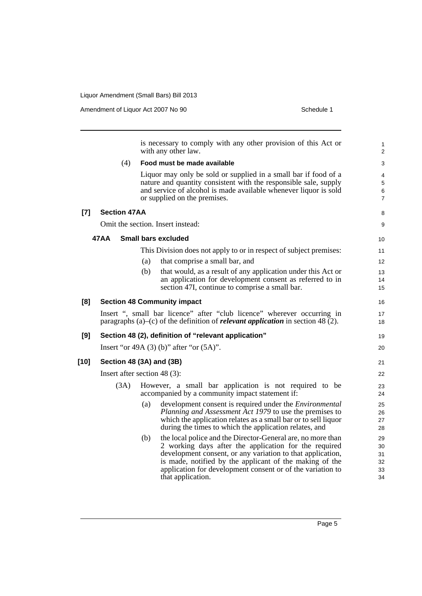**[7]** 

**[10]** 

|     |                              |     |     | is necessary to comply with any other provision of this Act or<br>with any other law.                                                                                                                                                                                                                                            | 1<br>$\overline{2}$              |
|-----|------------------------------|-----|-----|----------------------------------------------------------------------------------------------------------------------------------------------------------------------------------------------------------------------------------------------------------------------------------------------------------------------------------|----------------------------------|
|     |                              | (4) |     | Food must be made available                                                                                                                                                                                                                                                                                                      | 3                                |
|     |                              |     |     | Liquor may only be sold or supplied in a small bar if food of a<br>nature and quantity consistent with the responsible sale, supply<br>and service of alcohol is made available whenever liquor is sold<br>or supplied on the premises.                                                                                          | 4<br>5<br>6<br>7                 |
| [7] | <b>Section 47AA</b>          |     |     |                                                                                                                                                                                                                                                                                                                                  | 8                                |
|     |                              |     |     | Omit the section. Insert instead:                                                                                                                                                                                                                                                                                                | 9                                |
|     | 47 A A                       |     |     | Small bars excluded                                                                                                                                                                                                                                                                                                              | 10                               |
|     |                              |     |     | This Division does not apply to or in respect of subject premises:                                                                                                                                                                                                                                                               | 11                               |
|     |                              |     | (a) | that comprise a small bar, and                                                                                                                                                                                                                                                                                                   | 12                               |
|     |                              |     | (b) | that would, as a result of any application under this Act or<br>an application for development consent as referred to in<br>section 47I, continue to comprise a small bar.                                                                                                                                                       | 13<br>14<br>15                   |
| [8] |                              |     |     | <b>Section 48 Community impact</b>                                                                                                                                                                                                                                                                                               | 16                               |
|     |                              |     |     | Insert ", small bar licence" after "club licence" wherever occurring in<br>paragraphs (a)–(c) of the definition of <i>relevant application</i> in section 48 (2).                                                                                                                                                                | 17<br>18                         |
| [9] |                              |     |     | Section 48 (2), definition of "relevant application"                                                                                                                                                                                                                                                                             | 19                               |
|     |                              |     |     | Insert "or $49A(3)$ (b)" after "or $(5A)$ ".                                                                                                                                                                                                                                                                                     | 20                               |
| 10] | Section 48 (3A) and (3B)     |     |     |                                                                                                                                                                                                                                                                                                                                  | 21                               |
|     | Insert after section 48 (3): |     |     |                                                                                                                                                                                                                                                                                                                                  | 22                               |
|     | (3A)                         |     |     | However, a small bar application is not required to be<br>accompanied by a community impact statement if:                                                                                                                                                                                                                        | 23<br>24                         |
|     |                              |     | (a) | development consent is required under the <i>Environmental</i><br>Planning and Assessment Act 1979 to use the premises to<br>which the application relates as a small bar or to sell liquor<br>during the times to which the application relates, and                                                                            | 25<br>26<br>27<br>28             |
|     |                              |     | (b) | the local police and the Director-General are, no more than<br>2 working days after the application for the required<br>development consent, or any variation to that application,<br>is made, notified by the applicant of the making of the<br>application for development consent or of the variation to<br>that application. | 29<br>30<br>31<br>32<br>33<br>34 |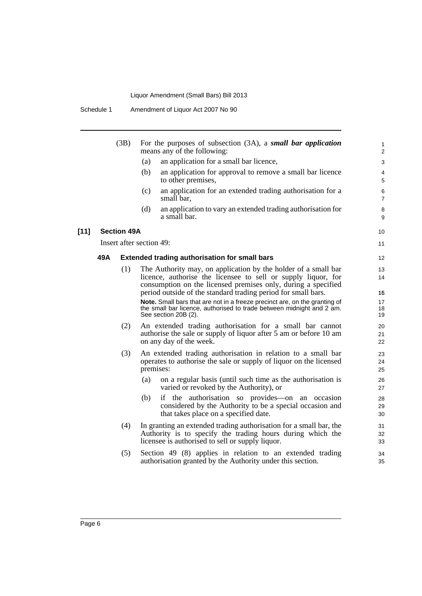| Amendment of Liquor Act 2007 No 90<br>Schedule 1 |
|--------------------------------------------------|
|--------------------------------------------------|

|        |     | (3B)               | For the purposes of subsection $(3A)$ , a small bar application<br>means any of the following:                                                                                                   |
|--------|-----|--------------------|--------------------------------------------------------------------------------------------------------------------------------------------------------------------------------------------------|
|        |     |                    | (a)<br>an application for a small bar licence,                                                                                                                                                   |
|        |     |                    | (b)<br>an application for approval to remove a small bar licence<br>to other premises,                                                                                                           |
|        |     |                    | (c)<br>an application for an extended trading authorisation for a<br>small bar,                                                                                                                  |
|        |     |                    | (d)<br>an application to vary an extended trading authorisation for<br>a small bar.                                                                                                              |
| $[11]$ |     | <b>Section 49A</b> |                                                                                                                                                                                                  |
|        |     |                    | Insert after section 49:                                                                                                                                                                         |
|        | 49A |                    | <b>Extended trading authorisation for small bars</b>                                                                                                                                             |
|        |     | (1)                | The Authority may, on application by the holder of a small bar<br>licence, authorise the licensee to sell or supply liquor, for<br>consumption on the licensed premises only, during a specified |
|        |     |                    | period outside of the standard trading period for small bars.                                                                                                                                    |
|        |     |                    | Note. Small bars that are not in a freeze precinct are, on the granting of<br>the small bar licence, authorised to trade between midnight and 2 am.<br>See section 20B (2).                      |
|        |     | (2)                | An extended trading authorisation for a small bar cannot<br>authorise the sale or supply of liquor after 5 am or before 10 am<br>on any day of the week.                                         |
|        |     | (3)                | An extended trading authorisation in relation to a small bar<br>operates to authorise the sale or supply of liquor on the licensed<br>premises:                                                  |
|        |     |                    | on a regular basis (until such time as the authorisation is<br>(a)<br>varied or revoked by the Authority), or                                                                                    |
|        |     |                    | if the authorisation so provides on an occasion<br>(b)<br>considered by the Authority to be a special occasion and<br>that takes place on a specified date.                                      |
|        |     | (4)                | In granting an extended trading authorisation for a small bar, the<br>Authority is to specify the trading hours during which the<br>licensee is authorised to sell or supply liquor.             |
|        |     | (5)                | Section 49 (8) applies in relation to an extended trading<br>authorisation granted by the Authority under this section.                                                                          |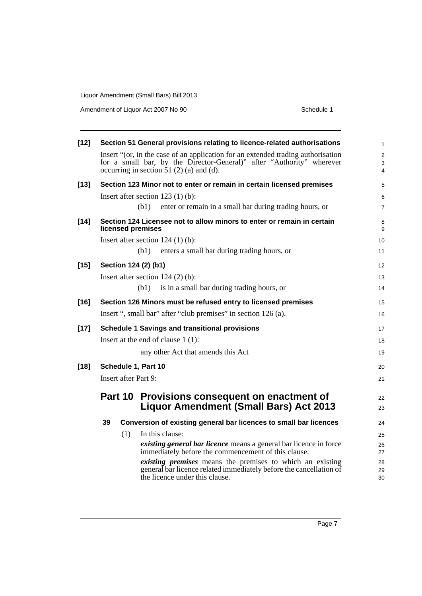Amendment of Liquor Act 2007 No 90 Schedule 1

| $[12]$ |                             | Section 51 General provisions relating to licence-related authorisations                                                                                                                               | $\mathbf{1}$          |
|--------|-----------------------------|--------------------------------------------------------------------------------------------------------------------------------------------------------------------------------------------------------|-----------------------|
|        |                             | Insert "(or, in the case of an application for an extended trading authorisation<br>for a small bar, by the Director-General)" after "Authority" wherever<br>occurring in section $51(2)$ (a) and (d). | $\mathbf 2$<br>3<br>4 |
| $[13]$ |                             | Section 123 Minor not to enter or remain in certain licensed premises                                                                                                                                  | 5                     |
|        |                             | Insert after section $123(1)(b)$ :                                                                                                                                                                     | 6                     |
|        |                             | (b1)<br>enter or remain in a small bar during trading hours, or                                                                                                                                        | $\overline{7}$        |
| $[14]$ | licensed premises           | Section 124 Licensee not to allow minors to enter or remain in certain                                                                                                                                 | 8<br>9                |
|        |                             | Insert after section $124(1)(b)$ :                                                                                                                                                                     | 10                    |
|        |                             | enters a small bar during trading hours, or<br>(b1)                                                                                                                                                    | 11                    |
| $[15]$ | Section 124 (2) (b1)        |                                                                                                                                                                                                        | 12 <sup>2</sup>       |
|        |                             | Insert after section $124(2)$ (b):                                                                                                                                                                     | 13                    |
|        |                             | is in a small bar during trading hours, or<br>(b1)                                                                                                                                                     | 14                    |
| $[16]$ |                             | Section 126 Minors must be refused entry to licensed premises                                                                                                                                          | 15                    |
|        |                             | Insert ", small bar" after "club premises" in section 126 (a).                                                                                                                                         | 16                    |
| $[17]$ |                             | <b>Schedule 1 Savings and transitional provisions</b>                                                                                                                                                  | 17                    |
|        |                             | Insert at the end of clause $1(1)$ :                                                                                                                                                                   | 18                    |
|        |                             | any other Act that amends this Act                                                                                                                                                                     | 19                    |
| $[18]$ | Schedule 1, Part 10         |                                                                                                                                                                                                        | 20                    |
|        | <b>Insert after Part 9:</b> |                                                                                                                                                                                                        | 21                    |
|        | Part 10                     | Provisions consequent on enactment of                                                                                                                                                                  | 22                    |
|        |                             | <b>Liquor Amendment (Small Bars) Act 2013</b>                                                                                                                                                          | 23                    |
|        | 39                          | Conversion of existing general bar licences to small bar licences                                                                                                                                      | 24                    |
|        | (1)                         | In this clause:                                                                                                                                                                                        | 25                    |
|        |                             | existing general bar licence means a general bar licence in force<br>immediately before the commencement of this clause.                                                                               | 26                    |
|        |                             | existing premises means the premises to which an existing                                                                                                                                              | 27<br>28              |
|        |                             | general bar licence related immediately before the cancellation of<br>the licence under this clause.                                                                                                   | 29<br>30              |
|        |                             |                                                                                                                                                                                                        |                       |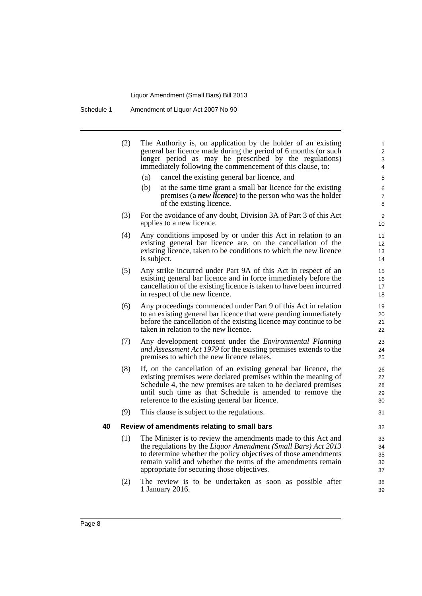Schedule 1 Amendment of Liquor Act 2007 No 90

|    | (2) | The Authority is, on application by the holder of an existing<br>general bar licence made during the period of 6 months (or such<br>longer period as may be prescribed by the regulations)<br>immediately following the commencement of this clause, to:                                                           | 1<br>$\overline{c}$<br>3<br>4     |
|----|-----|--------------------------------------------------------------------------------------------------------------------------------------------------------------------------------------------------------------------------------------------------------------------------------------------------------------------|-----------------------------------|
|    |     | cancel the existing general bar licence, and<br>(a)                                                                                                                                                                                                                                                                | 5                                 |
|    |     | (b)<br>at the same time grant a small bar licence for the existing<br>premises (a <b><i>new licence</i></b> ) to the person who was the holder<br>of the existing licence.                                                                                                                                         | 6<br>$\overline{7}$<br>8          |
|    | (3) | For the avoidance of any doubt, Division 3A of Part 3 of this Act<br>applies to a new licence.                                                                                                                                                                                                                     | 9<br>10 <sup>°</sup>              |
|    | (4) | Any conditions imposed by or under this Act in relation to an<br>existing general bar licence are, on the cancellation of the<br>existing licence, taken to be conditions to which the new licence<br>is subject.                                                                                                  | 11<br>12 <sup>2</sup><br>13<br>14 |
|    | (5) | Any strike incurred under Part 9A of this Act in respect of an<br>existing general bar licence and in force immediately before the<br>cancellation of the existing licence is taken to have been incurred<br>in respect of the new licence.                                                                        | 15<br>16<br>17<br>18              |
|    | (6) | Any proceedings commenced under Part 9 of this Act in relation<br>to an existing general bar licence that were pending immediately<br>before the cancellation of the existing licence may continue to be<br>taken in relation to the new licence.                                                                  | 19<br>20<br>21<br>22              |
|    | (7) | Any development consent under the <i>Environmental Planning</i><br>and Assessment Act 1979 for the existing premises extends to the<br>premises to which the new licence relates.                                                                                                                                  | 23<br>24<br>25                    |
|    | (8) | If, on the cancellation of an existing general bar licence, the<br>existing premises were declared premises within the meaning of<br>Schedule 4, the new premises are taken to be declared premises<br>until such time as that Schedule is amended to remove the<br>reference to the existing general bar licence. | 26<br>27<br>28<br>29<br>30        |
|    | (9) | This clause is subject to the regulations.                                                                                                                                                                                                                                                                         | 31                                |
| 40 |     | Review of amendments relating to small bars                                                                                                                                                                                                                                                                        | 32                                |
|    | (1) | The Minister is to review the amendments made to this Act and<br>the regulations by the Liquor Amendment (Small Bars) Act 2013<br>to determine whether the policy objectives of those amendments<br>remain valid and whether the terms of the amendments remain<br>appropriate for securing those objectives.      | 33<br>34<br>35<br>36<br>37        |
|    | (2) | The review is to be undertaken as soon as possible after<br>1 January 2016.                                                                                                                                                                                                                                        | 38<br>39                          |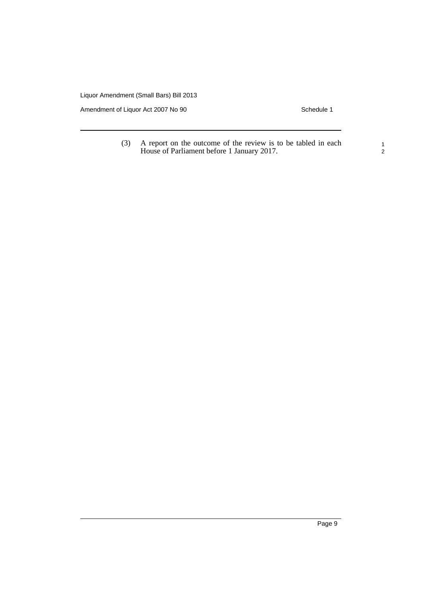Amendment of Liquor Act 2007 No 90 Schedule 1

(3) A report on the outcome of the review is to be tabled in each House of Parliament before 1 January 2017.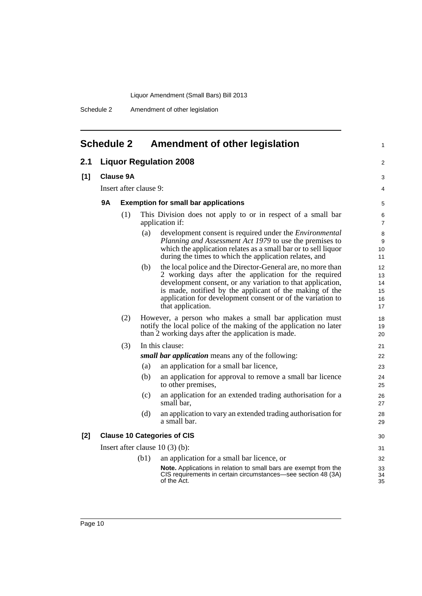Schedule 2 Amendment of other legislation

<span id="page-15-0"></span>

| <b>Schedule 2</b> |                                  |                                             | Amendment of other legislation | 1                                                                                                                                                                                                                                                                                                                                |                                  |  |  |
|-------------------|----------------------------------|---------------------------------------------|--------------------------------|----------------------------------------------------------------------------------------------------------------------------------------------------------------------------------------------------------------------------------------------------------------------------------------------------------------------------------|----------------------------------|--|--|
| 2.1               | <b>Liquor Regulation 2008</b>    |                                             |                                |                                                                                                                                                                                                                                                                                                                                  | 2                                |  |  |
| [1]               |                                  | <b>Clause 9A</b>                            |                                |                                                                                                                                                                                                                                                                                                                                  |                                  |  |  |
|                   |                                  | Insert after clause 9:                      |                                |                                                                                                                                                                                                                                                                                                                                  |                                  |  |  |
|                   | 9A                               | <b>Exemption for small bar applications</b> |                                |                                                                                                                                                                                                                                                                                                                                  |                                  |  |  |
|                   |                                  | (1)                                         |                                | This Division does not apply to or in respect of a small bar<br>application if:                                                                                                                                                                                                                                                  | 6<br>$\overline{7}$              |  |  |
|                   |                                  |                                             | (a)                            | development consent is required under the <i>Environmental</i><br>Planning and Assessment Act 1979 to use the premises to<br>which the application relates as a small bar or to sell liquor<br>during the times to which the application relates, and                                                                            | 8<br>9<br>10<br>11               |  |  |
|                   |                                  |                                             | (b)                            | the local police and the Director-General are, no more than<br>2 working days after the application for the required<br>development consent, or any variation to that application,<br>is made, notified by the applicant of the making of the<br>application for development consent or of the variation to<br>that application. | 12<br>13<br>14<br>15<br>16<br>17 |  |  |
|                   | (2)                              |                                             |                                | However, a person who makes a small bar application must<br>notify the local police of the making of the application no later<br>than 2 working days after the application is made.                                                                                                                                              | 18<br>19<br>20                   |  |  |
|                   | (3)                              |                                             |                                | In this clause:                                                                                                                                                                                                                                                                                                                  | 21                               |  |  |
|                   |                                  |                                             |                                | small bar application means any of the following:                                                                                                                                                                                                                                                                                | 22                               |  |  |
|                   |                                  |                                             | (a)                            | an application for a small bar licence,                                                                                                                                                                                                                                                                                          | 23                               |  |  |
|                   |                                  |                                             | (b)                            | an application for approval to remove a small bar licence<br>to other premises,                                                                                                                                                                                                                                                  | 24<br>25                         |  |  |
|                   |                                  |                                             | (c)                            | an application for an extended trading authorisation for a<br>small bar,                                                                                                                                                                                                                                                         | 26<br>27                         |  |  |
|                   |                                  |                                             | (d)                            | an application to vary an extended trading authorisation for<br>a small bar.                                                                                                                                                                                                                                                     | 28<br>29                         |  |  |
| $[2]$             |                                  |                                             |                                | <b>Clause 10 Categories of CIS</b>                                                                                                                                                                                                                                                                                               | 30                               |  |  |
|                   | Insert after clause $10(3)(b)$ : |                                             |                                |                                                                                                                                                                                                                                                                                                                                  | 31                               |  |  |
|                   |                                  |                                             | (b1)                           | an application for a small bar licence, or                                                                                                                                                                                                                                                                                       | 32                               |  |  |
|                   |                                  |                                             |                                | Note. Applications in relation to small bars are exempt from the<br>CIS requirements in certain circumstances—see section 48 (3A)<br>of the Act.                                                                                                                                                                                 | 33<br>34<br>35                   |  |  |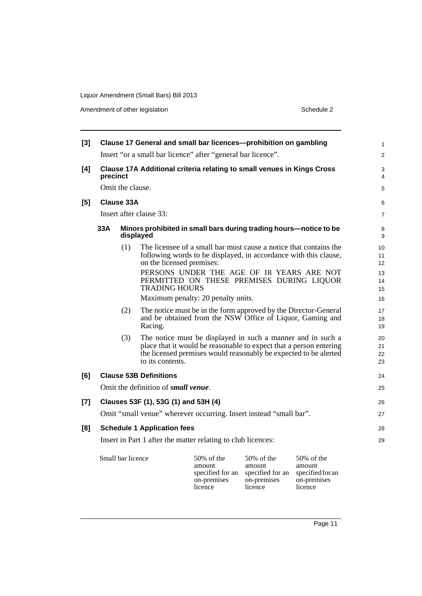Amendment of other legislation Schedule 2

| $[3]$ |                                                                                    |                   | Clause 17 General and small bar licences-prohibition on gambling               |                                                                                                                                                                                                       |                                                            |                                                            | $\mathbf{1}$         |  |
|-------|------------------------------------------------------------------------------------|-------------------|--------------------------------------------------------------------------------|-------------------------------------------------------------------------------------------------------------------------------------------------------------------------------------------------------|------------------------------------------------------------|------------------------------------------------------------|----------------------|--|
|       |                                                                                    |                   | Insert "or a small bar licence" after "general bar licence".                   |                                                                                                                                                                                                       |                                                            |                                                            | $\overline{2}$       |  |
| [4]   | Clause 17A Additional criteria relating to small venues in Kings Cross<br>precinct |                   |                                                                                |                                                                                                                                                                                                       |                                                            |                                                            |                      |  |
|       |                                                                                    | Omit the clause.  |                                                                                |                                                                                                                                                                                                       |                                                            |                                                            | 5                    |  |
| [5]   |                                                                                    | Clause 33A        |                                                                                |                                                                                                                                                                                                       |                                                            |                                                            | 6                    |  |
|       |                                                                                    |                   | Insert after clause 33:                                                        |                                                                                                                                                                                                       |                                                            |                                                            | $\overline{7}$       |  |
|       | 33A                                                                                |                   | Minors prohibited in small bars during trading hours-notice to be<br>displayed |                                                                                                                                                                                                       |                                                            |                                                            | 8<br>9               |  |
|       |                                                                                    | (1)               | on the licensed premises:                                                      | The licensee of a small bar must cause a notice that contains the<br>following words to be displayed, in accordance with this clause,                                                                 |                                                            |                                                            | 10<br>11<br>12       |  |
|       |                                                                                    |                   | <b>TRADING HOURS</b>                                                           | PERSONS UNDER THE AGE OF 18 YEARS ARE NOT<br>PERMITTED ON THESE PREMISES DURING LIQUOR                                                                                                                |                                                            |                                                            | 13<br>14<br>15       |  |
|       |                                                                                    |                   |                                                                                | Maximum penalty: 20 penalty units.                                                                                                                                                                    |                                                            |                                                            | 16                   |  |
|       |                                                                                    | (2)               | Racing.                                                                        | The notice must be in the form approved by the Director-General<br>and be obtained from the NSW Office of Liquor, Gaming and                                                                          |                                                            |                                                            | 17<br>18<br>19       |  |
|       |                                                                                    | (3)               | to its contents.                                                               | The notice must be displayed in such a manner and in such a<br>place that it would be reasonable to expect that a person entering<br>the licensed premises would reasonably be expected to be alerted |                                                            |                                                            | 20<br>21<br>22<br>23 |  |
| [6]   |                                                                                    |                   | <b>Clause 53B Definitions</b>                                                  |                                                                                                                                                                                                       |                                                            |                                                            | 24                   |  |
|       |                                                                                    |                   | Omit the definition of small venue.                                            |                                                                                                                                                                                                       |                                                            |                                                            | 25                   |  |
| $[7]$ |                                                                                    |                   | Clauses 53F (1), 53G (1) and 53H (4)                                           |                                                                                                                                                                                                       |                                                            |                                                            | 26                   |  |
|       |                                                                                    |                   | Omit "small venue" wherever occurring. Insert instead "small bar".             |                                                                                                                                                                                                       |                                                            |                                                            | 27                   |  |
| [8]   |                                                                                    |                   | <b>Schedule 1 Application fees</b>                                             |                                                                                                                                                                                                       |                                                            |                                                            | 28                   |  |
|       |                                                                                    |                   | Insert in Part 1 after the matter relating to club licences:                   |                                                                                                                                                                                                       |                                                            |                                                            | 29                   |  |
|       |                                                                                    |                   |                                                                                |                                                                                                                                                                                                       |                                                            |                                                            |                      |  |
|       |                                                                                    | Small bar licence |                                                                                | $50\%$ of the<br>amount<br>specified for an<br>on-premises                                                                                                                                            | $50\%$ of the<br>amount<br>specified for an<br>on-premises | $50\%$ of the<br>amount<br>specified for an<br>on-premises |                      |  |

licence

licence

licence